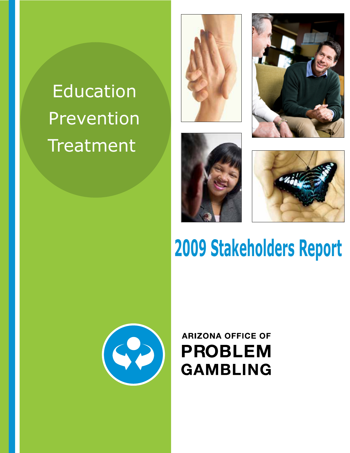# **Education** Prevention Treatment









# **2009 Stakeholders Report**



# **ARIZONA OFFICE OF PROBLEM GAMBLING**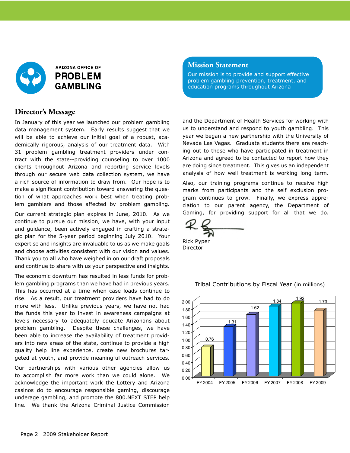

## **Director's Message**

In January of this year we launched our problem gambling data management system. Early results suggest that we will be able to achieve our initial goal of a robust, academically rigorous, analysis of our treatment data. With 31 problem gambling treatment providers under contract with the state--providing counseling to over 1000 clients throughout Arizona and reporting service levels through our secure web data collection system, we have a rich source of information to draw from. Our hope is to make a significant contribution toward answering the question of what approaches work best when treating problem gamblers and those affected by problem gambling.

Our current strategic plan expires in June, 2010. As we continue to pursue our mission, we have, with your input and guidance, been actively engaged in crafting a strategic plan for the 5-year period beginning July 2010. Your expertise and insights are invaluable to us as we make goals and choose activities consistent with our vision and values. Thank you to all who have weighed in on our draft proposals and continue to share with us your perspective and insights.

The economic downturn has resulted in less funds for problem gambling programs than we have had in previous years. This has occurred at a time when case loads continue to rise. As a result, our treatment providers have had to do more with less. Unlike previous years, we have not had the funds this year to invest in awareness campaigns at levels necessary to adequately educate Arizonans about problem gambling. Despite these challenges, we have been able to increase the availability of treatment providers into new areas of the state, continue to provide a high quality help line experience, create new brochures targeted at youth, and provide meaningful outreach services.

Our partnerships with various other agencies allow us to accomplish far more work than we could alone. We acknowledge the important work the Lottery and Arizona casinos do to encourage responsible gaming, discourage underage gambling, and promote the 800.NEXT STEP help line. We thank the Arizona Criminal Justice Commission

#### **Mission Statement**

Our mission is to provide and support effective problem gambling prevention, treatment, and education programs throughout Arizona

and the Department of Health Services for working with us to understand and respond to youth gambling. This year we began a new partnership with the University of Nevada Las Vegas. Graduate students there are reaching out to those who have participated in treatment in Arizona and agreed to be contacted to report how they are doing since treatment. This gives us an independent analysis of how well treatment is working long term.

Also, our training programs continue to receive high marks from participants and the self exclusion program continues to grow. Finally, we express appreciation to our parent agency, the Department of Gaming, for providing support for all that we do.

Rick Pyper Director



Tribal Contributions by Fiscal Year (in millions)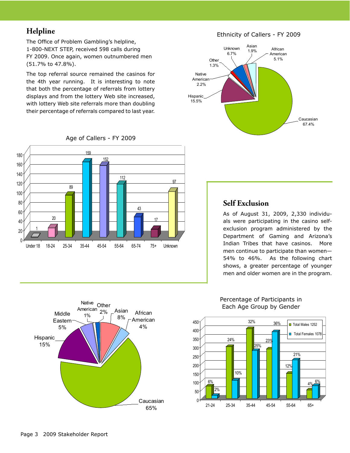# **Helpline**

The Office of Problem Gambling's helpline, 1-800-NEXT STEP, received 598 calls during FY 2009. Once again, women outnumbered men (51.7% to 47.8%).

The top referral source remained the casinos for the 4th year running. It is interesting to note that both the percentage of referrals from lottery displays and from the lottery Web site increased, with lottery Web site referrals more than doubling their percentage of referrals compared to last year.

Ethnicity of Callers - FY 2009



1 20 89 159 152 112 43 <u>17</u> 97  $\theta$ 20 40 60 80 100 120 140 160 180 Under 18 18-24 25-34 35-44 45-54 55-64 65-74 75+ Unknown

#### Age of Callers - FY 2009

# **Self Exclusion**

As of August 31, 2009, 2,330 individuals were participating in the casino selfexclusion program administered by the Department of Gaming and Arizona's Indian Tribes that have casinos. More men continue to participate than women— 54% to 46%. As the following chart shows, a greater percentage of younger men and older women are in the program.



# Percentage of Participants in

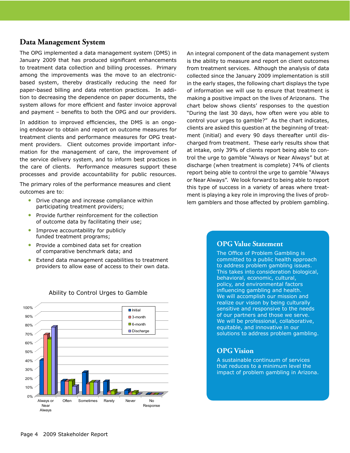#### **Data Management System**

The OPG implemented a data management system (DMS) in January 2009 that has produced significant enhancements to treatment data collection and billing processes. Primary among the improvements was the move to an electronicbased system, thereby drastically reducing the need for paper-based billing and data retention practices. In addition to decreasing the dependence on paper documents, the system allows for more efficient and faster invoice approval and payment – benefits to both the OPG and our providers.

In addition to improved efficiencies, the DMS is an ongoing endeavor to obtain and report on outcome measures for treatment clients and performance measures for OPG treatment providers. Client outcomes provide important information for the management of care, the improvement of the service delivery system, and to inform best practices in the care of clients. Performance measures support these processes and provide accountability for public resources.

The primary roles of the performance measures and client outcomes are to:

- Drive change and increase compliance within participating treatment providers;
- Provide further reinforcement for the collection of outcome data by facilitating their use; •
- Improve accountability for publicly funded treatment programs; •
- Provide a combined data set for creation of comparative benchmark data; and •
- Extend data management capabilities to treatment providers to allow ease of access to their own data. •



#### Ability to Control Urges to Gamble

An integral component of the data management system is the ability to measure and report on client outcomes from treatment services. Although the analysis of data collected since the January 2009 implementation is still in the early stages, the following chart displays the type of information we will use to ensure that treatment is making a positive impact on the lives of Arizonans. The chart below shows clients' responses to the question "During the last 30 days, how often were you able to control your urges to gamble?" As the chart indicates, clients are asked this question at the beginning of treatment (initial) and every 90 days thereafter until discharged from treatment. These early results show that at intake, only 39% of clients report being able to control the urge to gamble "Always or Near Always" but at discharge (when treatment is complete) 74% of clients report being able to control the urge to gamble "Always or Near Always". We look forward to being able to report this type of success in a variety of areas where treatment is playing a key role in improving the lives of problem gamblers and those affected by problem gambling.

#### **OPG Value Statement**

The Office of Problem Gambling is committed to a public health approach to address problem gambling issues. This takes into consideration biological, behavioral, economic, cultural, policy, and environmental factors influencing gambling and health. We will accomplish our mission and realize our vision by being culturally sensitive and responsive to the needs of our partners and those we serve. We will be professional, collaborative, equitable, and innovative in our solutions to address problem gambling.

## **OPG Vision**

A sustainable continuum of services that reduces to a minimum level the impact of problem gambling in Arizona.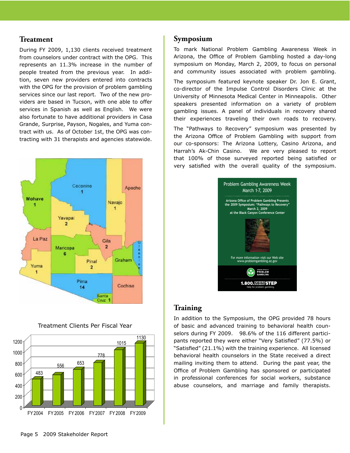#### **Treatment**

During FY 2009, 1,130 clients received treatment from counselors under contract with the OPG. This represents an 11.3% increase in the number of people treated from the previous year. In addition, seven new providers entered into contracts with the OPG for the provision of problem gambling services since our last report. Two of the new providers are based in Tucson, with one able to offer services in Spanish as well as English. We were also fortunate to have additional providers in Casa Grande, Surprise, Payson, Nogales, and Yuma contract with us. As of October 1st, the OPG was contracting with 31 therapists and agencies statewide.



Treatment Clients Per Fiscal Year



# **Symposium**

To mark National Problem Gambling Awareness Week in Arizona, the Office of Problem Gambling hosted a day-long symposium on Monday, March 2, 2009, to focus on personal and community issues associated with problem gambling.

The symposium featured keynote speaker Dr. Jon E. Grant, co-director of the Impulse Control Disorders Clinic at the University of Minnesota Medical Center in Minneapolis. Other speakers presented information on a variety of problem gambling issues. A panel of individuals in recovery shared their experiences traveling their own roads to recovery.

The "Pathways to Recovery" symposium was presented by the Arizona Office of Problem Gambling with support from our co-sponsors: The Arizona Lottery, Casino Arizona, and Harrah's Ak-Chin Casino. We are very pleased to report that 100% of those surveyed reported being satisfied or very satisfied with the overall quality of the symposium.



## **Training**

In addition to the Symposium, the OPG provided 78 hours of basic and advanced training to behavioral health counselors during FY 2009. 98.6% of the 116 different participants reported they were either "Very Satisfied" (77.5%) or "Satisfied" (21.1%) with the training experience. All licensed behavioral health counselors in the State received a direct mailing inviting them to attend. During the past year, the Office of Problem Gambling has sponsored or participated in professional conferences for social workers, substance abuse counselors, and marriage and family therapists.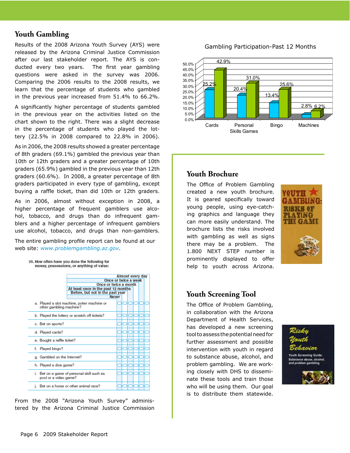# **Youth Gambling**

Results of the 2008 Arizona Youth Survey (AYS) were released by the Arizona Criminal Justice Commission after our last stakeholder report. The AYS is conducted every two years. The first year gambling questions were asked in the survey was 2006. Comparing the 2006 results to the 2008 results, we learn that the percentage of students who gambled in the previous year increased from 51.4% to 66.2%.

A significantly higher percentage of students gambled in the previous year on the activities listed on the chart shown to the right. There was a slight decrease in the percentage of students who played the lottery (22.5% in 2008 compared to 22.8% in 2006).

As in 2006, the 2008 results showed a greater percentage of 8th graders (69.1%) gambled the previous year than 10th or 12th graders and a greater percentage of 10th graders (65.9%) gambled in the previous year than 12th graders (60.6%). In 2008, a greater percentage of 8th graders participated in every type of gambling, except buying a raffle ticket, than did 10th or 12th graders.

As in 2006, almost without exception in 2008, a higher percentage of frequent gamblers use alcohol, tobacco, and drugs than do infrequent gamblers and a higher percentage of infrequent gamblers use alcohol, tobacco, and drugs than non-gamblers.

The entire gambling profile report can be found at our web site: *www.problemgambling.az.gov*.

35. How often have you done the following for money, possessions, or anything of value:



From the 2008 "Arizona Youth Survey" administered by the Arizona Criminal Justice Commission

Gambling Participation-Past 12 Months



# **Youth Brochure**

The Office of Problem Gambling created a new youth brochure. It is geared specifically toward young people, using eye-catching graphics and language they can more easily understand. The brochure lists the risks involved with gambling as well as signs there may be a problem. The 1.800 NEXT STEP number is prominently displayed to offer help to youth across Arizona.



# **Youth Screening Tool**

The Office of Problem Gambling, in collaboration with the Arizona Department of Health Services, has developed a new screening tool to assess the potential need for further assessment and possible intervention with youth in regard to substance abuse, alcohol, and problem gambling. We are working closely with DHS to disseminate these tools and train those who will be using them. Our goal is to distribute them statewide.

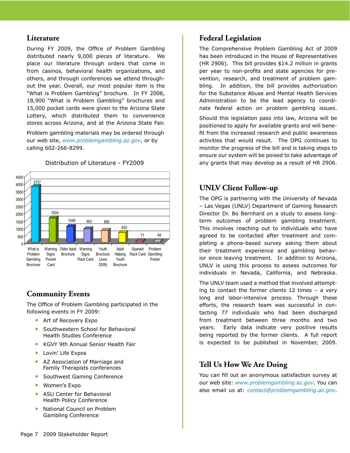#### **Literature**

During FY 2009, the Office of Problem Gambling distributed nearly 9,000 pieces of literature. We place our literature through orders that come in from casinos, behavioral health organizations, and others, and through conferences we attend throughout the year. Overall, our most popular item is the "What is Problem Gambling" brochure. In FY 2008, 18,900 "What is Problem Gambling" brochures and 15,000 pocket cards were given to the Arizona State Lottery, which distributed them to convenience stores across Arizona, and at the Arizona State Fair.

Problem gambling materials may be ordered through our web site, *www.problemgambling.az.gov*, or by calling 602-266-8299.



Distribution of Literature - FY2009

# **Community Events**

The Office of Problem Gambling participated in the following events in FY 2009:

- Art of Recovery Expo
- Southwestern School for Behavioral Health Studies Conference •
- KGVY 9th Annual Senior Health Fair •
- Lovin' Life Expos
- AZ Association of Marriage and Family Therapists conferences •
- Southwest Gaming Conference
- Women's Expo •
- ASU Center for Behavioral Health Policy Conference •
- National Council on Problem Gambling Conference •

## **Federal Legislation**

The Comprehensive Problem Gambling Act of 2009 has been introduced in the House of Representatives (HR 2906). This bill provides \$14.2 million in grants per year to non-profits and state agencies for prevention, research, and treatment of problem gambling. In addition, the bill provides authorization for the Substance Abuse and Mental Health Services Administration to be the lead agency to coordinate federal action on problem gambling issues.

Should this legislation pass into law, Arizona will be positioned to apply for available grants and will benefit from the increased research and public awareness activities that would result. The OPG continues to monitor the progress of the bill and is taking steps to ensure our system will be poised to take advantage of any grants that may develop as a result of HR 2906.

# **UNLV Client Follow-up**

The OPG is partnering with the University of Nevada – Las Vegas (UNLV) Department of Gaming Research Director Dr. Bo Bernhard on a study to assess longterm outcomes of problem gambling treatment. This involves reaching out to individuals who have agreed to be contacted after treatment and completing a phone-based survey asking them about their treatment experience and gambling behavior since leaving treatment. In addition to Arizona, UNLV is using this process to assess outcomes for individuals in Nevada, California, and Nebraska.

The UNLV team used a method that involved attempting to contact the former clients 12 times – a very long and labor-intensive process. Through these efforts, the research team was successful in contacting 77 individuals who had been discharged from treatment between three months and two years. Early data indicate very positive results being reported by the former clients. A full report is expected to be published in November, 2009.

# **Tell Us How We Are Doing**

You can fill out an anonymous satisfaction survey at our web site: *www.problemgambling.az.gov*. You can also email us at: *contact@problemgambling.az.gov*.